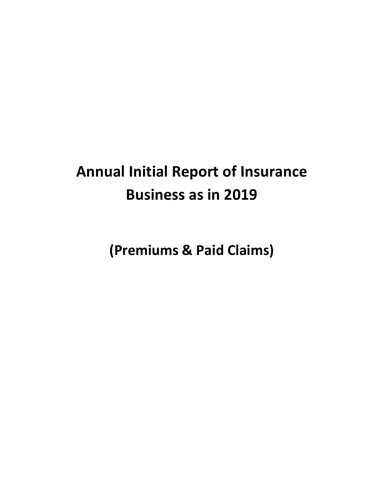# **Annual Initial Report of Insurance Business as in 2019**

 **(Premiums & Paid Claims)**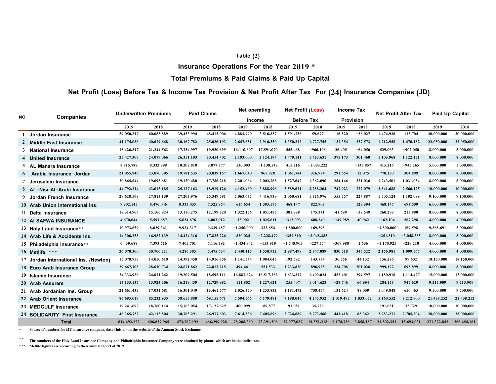#### **Table (2)**

**Insurance Operations For the Year 2019 \*** 

## **Total Premiums & Paid Claims & Paid Up Capital**

## **Net Profit (Loss) Before Tax & Income Tax Provision & Net Profit After Tax For (24) Insurance Companies (JD)**

|     | <b>Companies</b>                      | <b>Underwritten Premiums</b> |             | <b>Paid Claims</b> |             | Net operating |              | <b>Net Profit (Loss)</b> |                   | <b>Income Tax</b> |            | <b>Net Profit After Tax</b> |              | <b>Paid Up Capital</b> |             |
|-----|---------------------------------------|------------------------------|-------------|--------------------|-------------|---------------|--------------|--------------------------|-------------------|-------------------|------------|-----------------------------|--------------|------------------------|-------------|
| NO. |                                       |                              |             |                    |             |               | income       |                          | <b>Before Tax</b> |                   | Provision  |                             |              |                        |             |
|     |                                       | 2019                         | 2018        | 2019               | 2018        | 2019          | 2018         | 2019                     | 2018              | 2019              | 2018       | 2019                        | 2018         | 2019                   | 2018        |
| 1   | Jordan Insurance                      | 59,050,317                   | 60,083,889  | 39,453,994         | 48,415,006  | 4,883,990     | 3,516,857    | 1,591,756                | 59,677            | 116,820           | $-56,027$  | 1,474,936                   | 115,704      | 30,000,000             | 30,000,000  |
|     | 2 Middle East Insurance               | 41,174,086                   | 40,679,648  | 30,167,782         | 25,036,193  | 2,647,651     | 2,916,550    | 1,350,312                | 1,727,755         | 137,354           | 257,573    | 1,212,958                   | 1,470,182    | 22,050,000             | 22,050,000  |
|     | 3 National Insurance                  | 18,426,817                   | 21,244,563  | 17,754,997         | 19,950,699  | 16,110,607    | 17,591,070   | 555,468                  | $-966, 106$       | 26,405            | $-64,056$  | 529,063                     | $-902,050$   | 8,000,000              | 8,000,000   |
|     | 4 United Insurance                    | 25,427,309                   | 24,079,066  | 26,351,193         | 20,454,402  | 2,193,000     | 2,124,194    | 1,479,141                | 1,423,631         | 375,173           | 301,460    | 1,103,968                   | 1,122,171    | 8,000,000              | 8,000,000   |
|     | <b>Manara Insurance</b><br>5 AL       | 8,815,788                    | 8,332,999   | 10,208,810         | 9,877,377   | 530,003       | $-1,138,548$ | 415,216                  | $-1,093,222$      |                   | $-147,957$ | 415,216                     | $-945,265$   | 5,000,000              | 5,000,000   |
|     | 6 Arabia Insurance-Jordan             | 21,055,946                   | 23,070,305  | 19,781,535         | 20,039,157  | 1,667,040     | 967,928      | 1,061,784                | 316,974           | 291,654           | 12,075     | 770,130                     | 304,899      | 8,000,000              | 8,000,000   |
|     | 7 Jerusalem Insurance                 | 20,865,644                   | 19,098,681  | 19,130,480         | 17,786,218  | 2,201,064     | 2,002,768    | 1,527,647                | 1,362,090         | 284,146           | 331,036    | 1,243,501                   | 1,031,054    | 8,000,000              | 8,000,000   |
|     | 8 AL-Nisr Al-Arabi Insurance          | 44,792,214                   | 43,013,185  | 25,127,163         | 18,919,126  | 4,152,460     | 3,888,996    | 3,589,611                | 3,288,204         | 747,923           | 722,079    | 2,841,688                   | 2,566,125    | 10,000,000             | 10,000,000  |
|     | 9 Jordan French Insurance             | 29,628,598                   | 27,813,139  | 27,203,976         | 25,349,581  | 5,063,635     | 4,416,939    | 2,060,681                | 1,326,976         | 555,557           | 224,887    | 1,505,124                   | 1,102,089    | 9,100,000              | 9,100,000   |
|     | 10 Arab Union International Ins.      | 9,302,145                    | 8,476,046   | 8,333,035          | 7,525,954   | 616,654       | 1,395,575    | 468,147                  | 822,903           |                   | 129,394    | 468,147                     | 693,509      | 6,000,000              | 6,000,000   |
|     | 11 Delta Insurance                    | 18,314,967                   | 15,106,924  | 13,170,275         | 12,199,320  | 1,322,176     | 1,051,485    | 301,998                  | 175,341           | 41,699            | $-38,549$  | 260,299                     | 213,890      | 8,000,000              | 8,000,000   |
|     | 12 AI SAFWA INSURANCE                 | 4,670,044                    | 5,591,687   | 5,054,676          | 6.003.012   | 33,902        | 1,025,611    | $-312.093$               | 608,240           | $-149.989$        | 40,942     | $-162.104$                  | 567.298      | 4,000,000              | 4.000.000   |
|     | 13 Holy Land Insurance**              | 10,973,659                   | 8,629,341   | 9,934,317          | 9,339,487   | $-1,250,000$  | 333,654      | $-1,800,000$             | 169,598           |                   |            | $-1,800,000$                | 169,598      | 9,868,691              | 5,000,000   |
|     | 14 Arab Life & Accidents Ins.         | 14,306,258                   | 16,982,139  | 14,424,316         | 17,835,226  | 820,024       | $-2,228,479$ | $-351,810$               | $-3,048,385$      |                   |            | $-351,810$                  | $-3,048,385$ | 8,000,000              | 8,000,000   |
|     | 15 Philadelphia Insurance**           | 6,439,688                    | 7,393,716   | 7,405,701          | 7.116.392   | $-1,434,942$  | $-153,919$   | $-1,540,905$             | $-227,574$        | $-369,980$        | 1,636      | $-1.170.925$                | $-229,210$   | 4,000,000              | 4,000,000   |
|     | 16 Metlife ***                        | 26,070,300                   | 30,706,211  | 4,286,385          | 5,475,634   | 2,440,115     | 1,550,932    | 2,987,499                | 2,347,089         | 830,518           | 347,522    | 2,156,981                   | 1,999,567    | 4,000,000              | 4,000,000   |
|     | 17 Jordan International Ins. (Newton) | 15,078,958                   | 14,050,610  | 14,392,458         | 14,916,356  | 1,141,544     | 1,084,045    | 192,792                  | 143,734           | 36,556            | 44,132     | 156,236                     | 99,602       | 18,150,000             | 18,150,000  |
|     | 18 Euro Arab Insurance Group          | 29,667,108                   | 28,610,734  | 24,671,862         | 22,013,215  | 494,461       | 551,533      | 1,233,830                | 896,925           | 234,708           | 201,026    | 999,122                     | 695,899      | 8,000,000              | 8,000,000   |
|     | 19 Islamic Insurance                  | 24,333,936                   | 24,611,242  | 19,209,504         | 18,595,111  | 16,887,624    | 16,517,262   | 1.633.317                | 1,409,024         | 452,401           | 294,597    | 1,180,916                   | 1,114,427    | 15,000,000             | 15,000,000  |
|     | 20 Arab Assurers                      | 13,135,137                   | 15,923,306  | 16,219,459         | 12,729,982  | 111,802       | 1,227,621    | 255,407                  | 1,014,623         | $-28,746$         | 66,994     | 284,153                     | 947,629      | 9,215,909              | 9,215,909   |
|     | 21 Arab Jordanian Ins. Group          | 21,661,435                   | 17,031,681  | 16,301,049         | 13,461,577  | 2,026,350     | 1,253,832    | 1,181,472                | 738,474           | 131,624           | 88,009     | 1,049,848                   | 650,465      | 9,500,000              | 9,500,000   |
|     | 22 Arab Orient Insurance              | 85,695,019                   | 85,232,935  | 58,655,880         | 69,155,671  | 7,594,565     | 6,179,481    | 7,180,047                | 4,245,952         | 2.019.495         | 1,033,052  | 5,160,552                   | 3,212,900    | 21,438,252             | 21,438,252  |
|     | 23 MEDGULF Insurance                  | 19,241,097                   | 18,760,114  | 15,763,054         | 17,127,629  | 400,099       | $-89,877$    | 191,081                  | 35,729            |                   |            | 191,081                     | 35,729       | 10,000,000             | 10,000,000  |
|     | 24 SOLIDARITY-First Insurance         | 46,365,752                   | 42,115,804  | 30,765,291         | 26,977,603  | 7.614.536     | 7,405,696    | 2,724,689                | 2.773.566         | 441,418           | 68,362     | 2.283.271                   | 2,705,204    | 28,000,000             | 28,000,000  |
|     | <b>Total</b>                          | 614,492,222                  | 606,637,965 | 473,767,192        | 466,299,928 | 78.268.360    | 73,391,206   | 27,977,087               | 19,551,218        | 6.174.736         | 3.858.187  | 21,802,351                  | 15,693,031   | 271,322,852            | 266,454,161 |

\***Source of numbers for (21) insurance company, data (Initial) on the website of the Amman Stock Exchange.**

 $\bullet$   $\bullet$  . **The numbers of the Holy Land Insurance Company and Philadelphia Insurance Company were obtained by phone, which are initial indicators.**

\*\*\***Metlife figures are according to their anuual report of 2019.**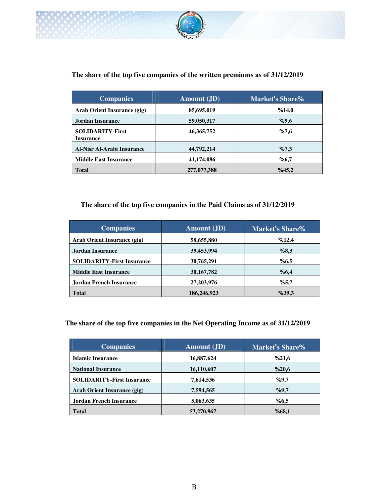

# **The share of the top five companies of the written premiums as of 31/12/2019**

| <b>Companies</b>                            | <b>Amount</b> (JD) | Market's Share% |
|---------------------------------------------|--------------------|-----------------|
| Arab Orient Insurance (gig)                 | 85,695,019         | %14,0           |
| Jordan Insurance                            | 59,050,317         | %9,6            |
| <b>SOLIDARITY-First</b><br><b>Insurance</b> | 46, 365, 752       | %7,6            |
| <b>Al-Nisr Al-Arabi Insurance</b>           | 44,792,214         | %7,3            |
| <b>Middle East Insurance</b>                | 41,174,086         | %6,7            |
| <b>Total</b>                                | 277,077,388        | %45,2           |

# **The share of the top five companies in the Paid Claims as of 31/12/2019**

| <b>Companies</b>                  | <b>Amount</b> (JD) | Market's Share% |
|-----------------------------------|--------------------|-----------------|
| Arab Orient Insurance (gig)       | 58,655,880         | %12,4           |
| Jordan Insurance                  | 39,453,994         | %8,3            |
| <b>SOLIDARITY-First Insurance</b> | 30,765,291         | %6,5            |
| <b>Middle East Insurance</b>      | 30, 167, 782       | %6,4            |
| Jordan French Insurance           | 27, 203, 976       | %5,7            |
| <b>Total</b>                      | 186,246,923        | %39,3           |

## **The share of the top five companies in the Net Operating Income as of 31/12/2019**

| <b>Companies</b>                  | <b>Amount</b> (JD) | <b>Market's Share%</b> |
|-----------------------------------|--------------------|------------------------|
| <b>Islamic Insurance</b>          | 16,887,624         | %21,6                  |
| <b>National Insurance</b>         | 16,110,607         | %20,6                  |
| <b>SOLIDARITY-First Insurance</b> | 7,614,536          | %9,7                   |
| Arab Orient Insurance (gig)       | 7,594,565          | %9,7                   |
| Jordan French Insurance           | 5,063,635          | %6,5                   |
| <b>Total</b>                      | 53,270,967         | %68,1                  |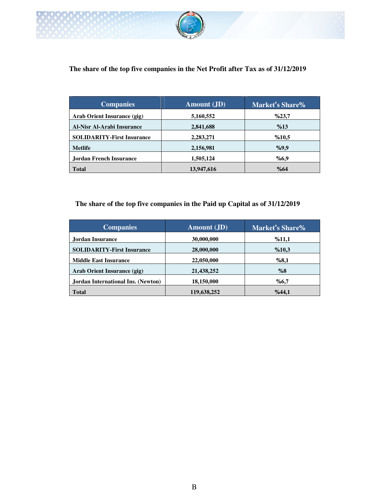

# **The share of the top five companies in the Net Profit after Tax as of 31/12/2019**

| <b>Companies</b>                  | <b>Amount</b> (JD) | Market's Share% |
|-----------------------------------|--------------------|-----------------|
| Arab Orient Insurance (gig)       | 5,160,552          | %23,7           |
| Al-Nisr Al-Arabi Insurance        | 2,841,688          | %13             |
| <b>SOLIDARITY-First Insurance</b> | 2,283,271          | %10,5           |
| <b>Metlife</b>                    | 2,156,981          | %9,9            |
| <b>Jordan French Insurance</b>    | 1,505,124          | %6,9            |
| <b>Total</b>                      | 13,947,616         | %64             |

# **The share of the top five companies in the Paid up Capital as of 31/12/2019**

| <b>Companies</b>                   | <b>Amount</b> (JD) | <b>Market's Share%</b> |
|------------------------------------|--------------------|------------------------|
| Jordan Insurance                   | 30,000,000         | %11,1                  |
| <b>SOLIDARITY-First Insurance</b>  | 28,000,000         | %10,3                  |
| <b>Middle East Insurance</b>       | 22,050,000         | %8,1                   |
| Arab Orient Insurance (gig)        | 21,438,252         | %8                     |
| Jordan International Ins. (Newton) | 18,150,000         | %6,7                   |
| <b>Total</b>                       | 119,638,252        | %44,1                  |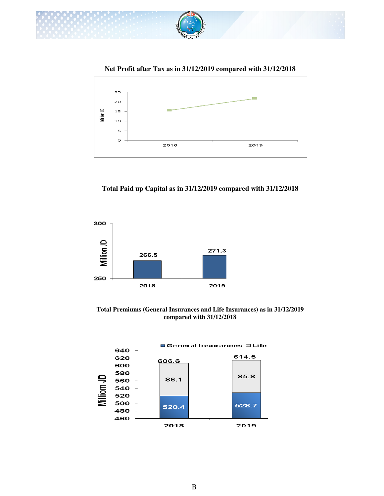

 **Net Profit after Tax as in 31/12/2019 compared with 31/12/2018**



**Total Paid up Capital as in 31/12/2019 compared with 31/12/2018**



**Total Premiums (General Insurances and Life Insurances) as in 31/12/2019 compared with 31/12/2018**

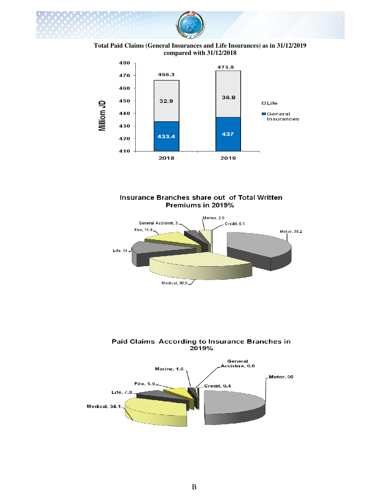

**Total Paid Claims (General Insurances and Life Insurances) as in 31/12/2019 compared with 31/12/2018**







Paid Claims According to Insurance Branches in 2019%